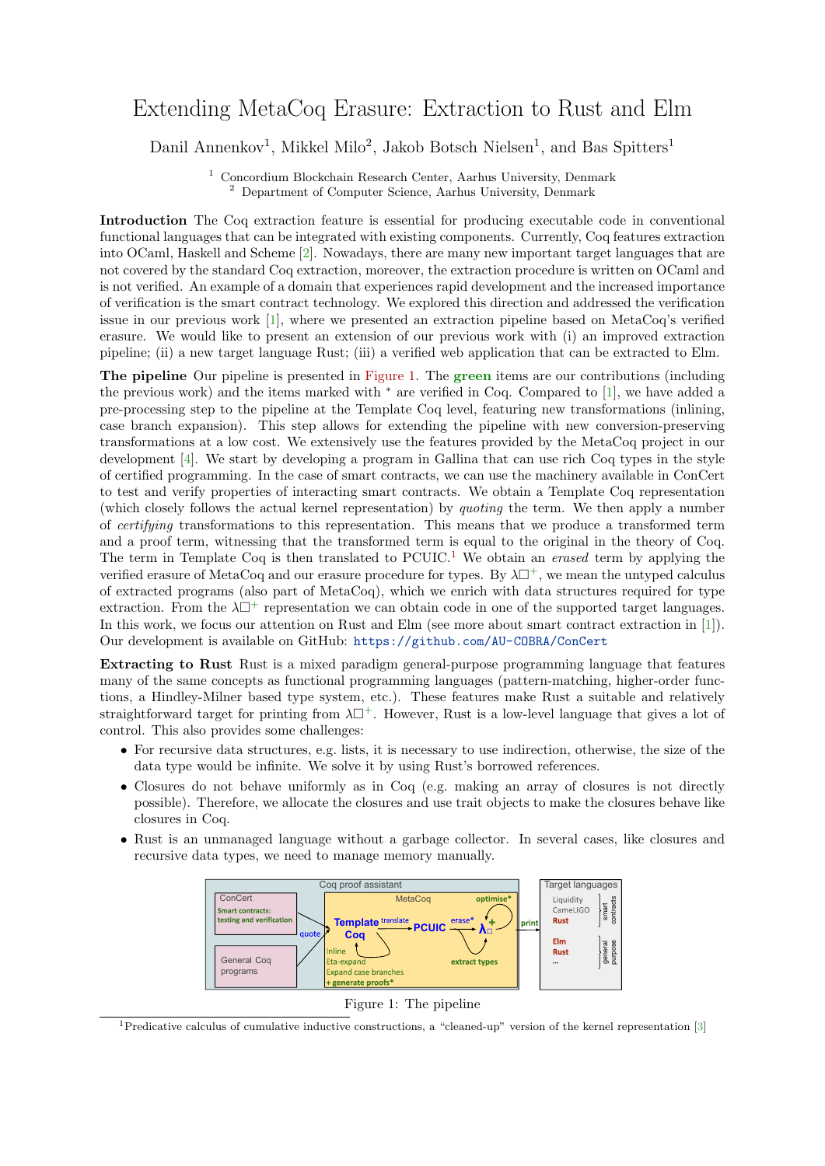## Extending MetaCoq Erasure: Extraction to Rust and Elm

Danil Annenkov<sup>1</sup>, Mikkel Milo<sup>2</sup>, Jakob Botsch Nielsen<sup>1</sup>, and Bas Spitters<sup>1</sup>

<sup>1</sup> Concordium Blockchain Research Center, Aarhus University, Denmark  $^{\rm 2}$  Department of Computer Science, Aarhus University, Denmark

Introduction The Coq extraction feature is essential for producing executable code in conventional functional languages that can be integrated with existing components. Currently, Coq features extraction into OCaml, Haskell and Scheme [\[2\]](#page-1-0). Nowadays, there are many new important target languages that are not covered by the standard Coq extraction, moreover, the extraction procedure is written on OCaml and is not verified. An example of a domain that experiences rapid development and the increased importance of verification is the smart contract technology. We explored this direction and addressed the verification issue in our previous work [\[1\]](#page-1-1), where we presented an extraction pipeline based on MetaCoq's verified erasure. We would like to present an extension of our previous work with (i) an improved extraction pipeline; (ii) a new target language Rust; (iii) a verified web application that can be extracted to Elm.

The pipeline Our pipeline is presented in [Figure 1.](#page-0-0) The green items are our contributions (including the previous work) and the items marked with <sup>∗</sup> are verified in Coq. Compared to [\[1\]](#page-1-1), we have added a pre-processing step to the pipeline at the Template Coq level, featuring new transformations (inlining, case branch expansion). This step allows for extending the pipeline with new conversion-preserving transformations at a low cost. We extensively use the features provided by the MetaCoq project in our development [\[4\]](#page-1-2). We start by developing a program in Gallina that can use rich Coq types in the style of certified programming. In the case of smart contracts, we can use the machinery available in ConCert to test and verify properties of interacting smart contracts. We obtain a Template Coq representation (which closely follows the actual kernel representation) by quoting the term. We then apply a number of certifying transformations to this representation. This means that we produce a transformed term and a proof term, witnessing that the transformed term is equal to the original in the theory of Coq. The term in Template Coq is then translated to  $PCUIC<sup>1</sup>$  $PCUIC<sup>1</sup>$  $PCUIC<sup>1</sup>$ . We obtain an *erased* term by applying the verified erasure of MetaCoq and our erasure procedure for types. By  $\lambda \Box^{+}$ , we mean the untyped calculus of extracted programs (also part of MetaCoq), which we enrich with data structures required for type extraction. From the  $\lambda \Box^+$  representation we can obtain code in one of the supported target languages. In this work, we focus our attention on Rust and Elm (see more about smart contract extraction in [\[1\]](#page-1-1)). Our development is available on GitHub: <https://github.com/AU-COBRA/ConCert>

Extracting to Rust Rust is a mixed paradigm general-purpose programming language that features many of the same concepts as functional programming languages (pattern-matching, higher-order functions, a Hindley-Milner based type system, etc.). These features make Rust a suitable and relatively straightforward target for printing from  $\lambda \Box^{+}$ . However, Rust is a low-level language that gives a lot of control. This also provides some challenges:

- For recursive data structures, e.g. lists, it is necessary to use indirection, otherwise, the size of the data type would be infinite. We solve it by using Rust's borrowed references.
- Closures do not behave uniformly as in Coq (e.g. making an array of closures is not directly possible). Therefore, we allocate the closures and use trait objects to make the closures behave like closures in Coq.
- <span id="page-0-0"></span>• Rust is an unmanaged language without a garbage collector. In several cases, like closures and recursive data types, we need to manage memory manually.



Figure 1: The pipeline

<span id="page-0-1"></span><sup>1</sup>Predicative calculus of cumulative inductive constructions, a "cleaned-up" version of the kernel representation [\[3\]](#page-1-3)